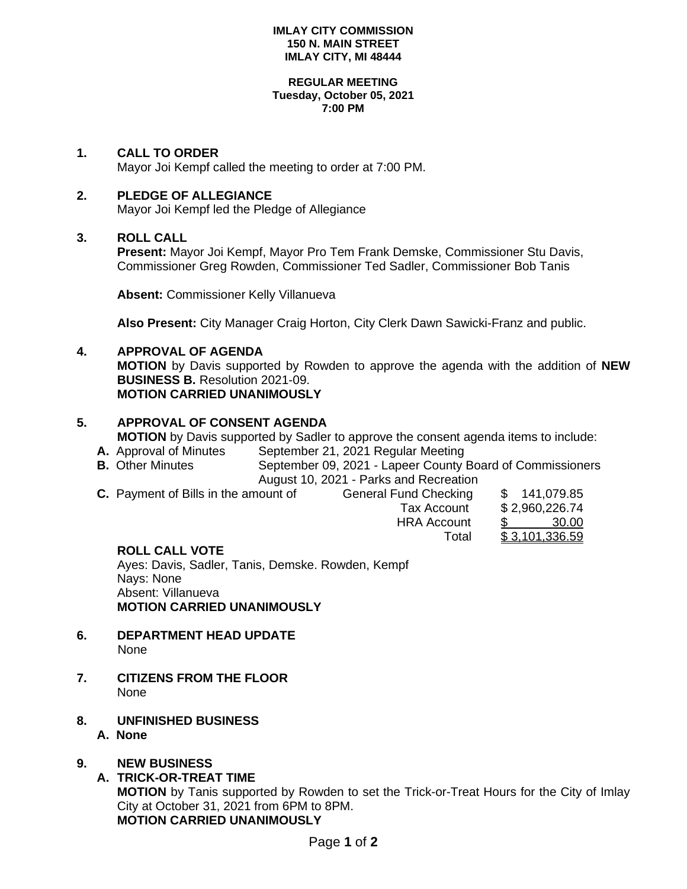### **IMLAY CITY COMMISSION 150 N. MAIN STREET IMLAY CITY, MI 48444**

### **REGULAR MEETING Tuesday, October 05, 2021 7:00 PM**

## **1. CALL TO ORDER**

Mayor Joi Kempf called the meeting to order at 7:00 PM.

# **2. PLEDGE OF ALLEGIANCE**

Mayor Joi Kempf led the Pledge of Allegiance

## **3. ROLL CALL**

**Present:** Mayor Joi Kempf, Mayor Pro Tem Frank Demske, Commissioner Stu Davis, Commissioner Greg Rowden, Commissioner Ted Sadler, Commissioner Bob Tanis

**Absent:** Commissioner Kelly Villanueva

**Also Present:** City Manager Craig Horton, City Clerk Dawn Sawicki-Franz and public.

# **4. APPROVAL OF AGENDA**

**MOTION** by Davis supported by Rowden to approve the agenda with the addition of **NEW BUSINESS B.** Resolution 2021-09. **MOTION CARRIED UNANIMOUSLY**

## **5. APPROVAL OF CONSENT AGENDA**

**MOTION** by Davis supported by Sadler to approve the consent agenda items to include:

- **A.** Approval of Minutes September 21, 2021 Regular Meeting
- **B.** Other Minutes September 09, 2021 Lapeer County Board of Commissioners August 10, 2021 - Parks and Recreation<br>
ount of General Fund Checking
- **C.** Payment of Bills in the amount of General Fund Checking \$ 141,079.85

| u i unu viivumiy   | טט.טוט,ודו ש   |
|--------------------|----------------|
| Tax Account        | \$2,960,226.74 |
| <b>HRA Account</b> | S.<br>30.00    |
| Total              | \$3,101,336.59 |

## **ROLL CALL VOTE**

Ayes: Davis, Sadler, Tanis, Demske. Rowden, Kempf Nays: None Absent: Villanueva **MOTION CARRIED UNANIMOUSLY**

- **6. DEPARTMENT HEAD UPDATE** None
- **7. CITIZENS FROM THE FLOOR** None
- **8. UNFINISHED BUSINESS**
	- **A. None**

# **9. NEW BUSINESS**

## **A. TRICK-OR-TREAT TIME**

**MOTION** by Tanis supported by Rowden to set the Trick-or-Treat Hours for the City of Imlay City at October 31, 2021 from 6PM to 8PM. **MOTION CARRIED UNANIMOUSLY**